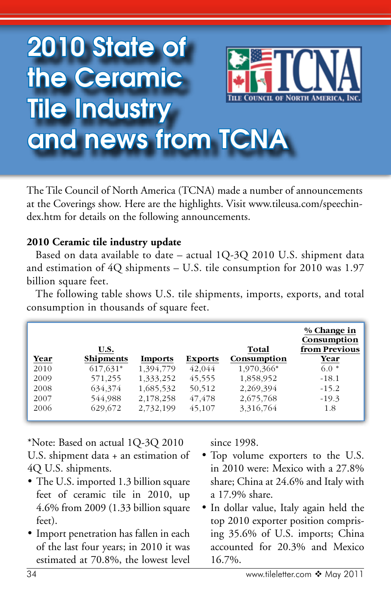## 2010 State of the Ceramic Tile Industry and news from TCNA

The Tile Council of North America (TCNA) made a number of announcements at the Coverings show. Here are the highlights. Visit www.tileusa.com/speechindex.htm for details on the following announcements.

## **2010 Ceramic tile industry update**

Based on data available to date – actual 1Q-3Q 2010 U.S. shipment data and estimation of 4Q shipments – U.S. tile consumption for 2010 was 1.97 billion square feet.

The following table shows U.S. tile shipments, imports, exports, and total consumption in thousands of square feet.

|      | U.S.             |           |                | Total       | % Change in<br>Consumption<br>from Previous |
|------|------------------|-----------|----------------|-------------|---------------------------------------------|
| Year | <b>Shipments</b> | Imports   | <b>Exports</b> | Consumption | Year                                        |
| 2010 | 617,631*         | 1,394,779 | 42,044         | 1,970,366*  | $6.0*$                                      |
| 2009 | 571,255          | 1,333,252 | 45,555         | 1,858,952   | $-18.1$                                     |
| 2008 | 634,374          | 1,685,532 | 50,512         | 2,269,394   | $-15.2$                                     |
| 2007 | 544,988          | 2,178,258 | 47,478         | 2,675,768   | $-19.3$                                     |
| 2006 | 629.672          | 2,732,199 | 45,107         | 3,316,764   | 1.8                                         |

\*Note: Based on actual 1Q-3Q 2010 U.S. shipment data + an estimation of 4Q U.S. shipments.

- The U.S. imported 1.3 billion square feet of ceramic tile in 2010, up 4.6% from 2009 (1.33 billion square feet).
- • Import penetration has fallen in each of the last four years; in 2010 it was estimated at 70.8%, the lowest level

since 1998.

- Top volume exporters to the U.S. in 2010 were: Mexico with a 27.8% share; China at 24.6% and Italy with a 17.9% share.
- • In dollar value, Italy again held the top 2010 exporter position comprising 35.6% of U.S. imports; China accounted for 20.3% and Mexico 16.7%.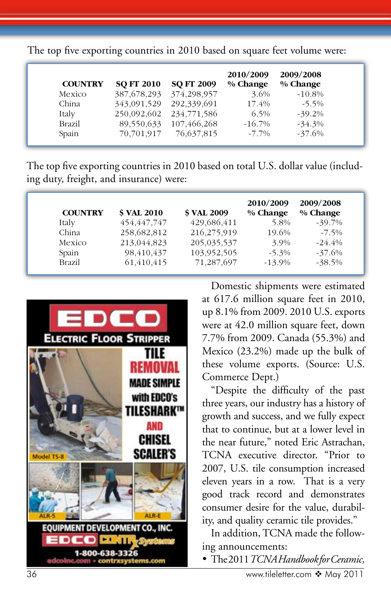The top five exporting countries in 2010 based on square feet volume were:

| <b>COUNTRY</b> | <b>SO FT 2010</b> | <b>SO FT 2009</b> | 2010/2009<br>% Change | 2009/2008<br>% Change |
|----------------|-------------------|-------------------|-----------------------|-----------------------|
| Mexico         | 387, 678, 293     | 374,298,957       | 3.6%                  | $-10.8%$              |
| China          | 343,091,529       | 292,339,691       | 17.4%                 | $-5.5\%$              |
| Italy          | 250,092,602       | 234,771,586       | 6.5%                  | $-39.2%$              |
| <b>Brazil</b>  | 89,550,633        | 107,466,268       | $-16.7\%$             | $-34.3%$              |
| Spain          | 70,701,917        | 76,637,815        | $-7.7\%$              | $-37.6%$              |

The top five exporting countries in 2010 based on total U.S. dollar value (including duty, freight, and insurance) were:

| <b>COUNTRY</b> | <b>S VAL 2010</b> | <b>\$ VAL 2009</b> | 2010/2009<br>% Change | 2009/2008<br>% Change |
|----------------|-------------------|--------------------|-----------------------|-----------------------|
| Italy          | 454, 447, 747     | 429,686,411        | 5.8%                  | $-39.7%$              |
| China          | 258,682,812       | 216,275,919        | 19.6%                 | $-7.5\%$              |
| Mexico         | 213,044,823       | 205,035,537        | 3.9%                  | $-24.4\%$             |
| Spain          | 98,410,437        | 103,952,505        | $-5.3\%$              | $-37.6%$              |
| <b>Brazil</b>  | 61,410,415        | 71,287,697         | $-13.9%$              | $-38.5%$              |



Domestic shipments were estimated at 617.6 million square feet in 2010, up 8.1% from 2009. 2010 U.S. exports were at 42.0 million square feet, down 7.7% from 2009. Canada (55.3%) and Mexico (23.2%) made up the bulk of these volume exports. (Source: U.S. Commerce Dept.)

"Despite the difficulty of the past three years, our industry has a history of growth and success, and we fully expect that to continue, but at a lower level in the near future," noted Eric Astrachan, TCNA executive director. "Prior to 2007, U.S. tile consumption increased eleven years in a row. That is a very good track record and demonstrates consumer desire for the value, durability, and quality ceramic tile provides."

In addition, TCNA made the following announcements:

• The 2011 *TCNA Handbook for Ceramic,*